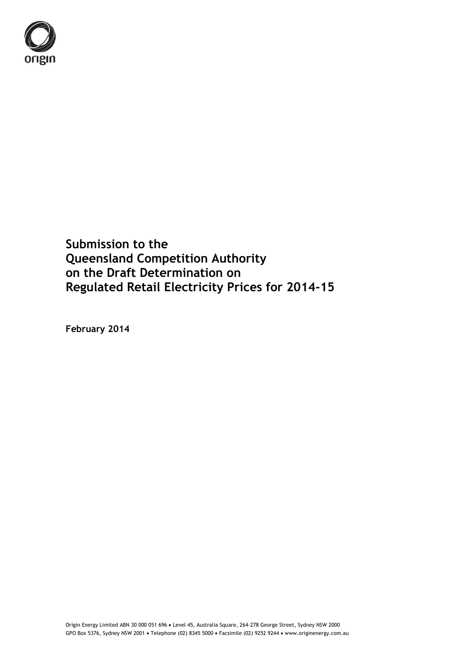

**Submission to the Queensland Competition Authority on the Draft Determination on Regulated Retail Electricity Prices for 2014-15** 

**February 2014**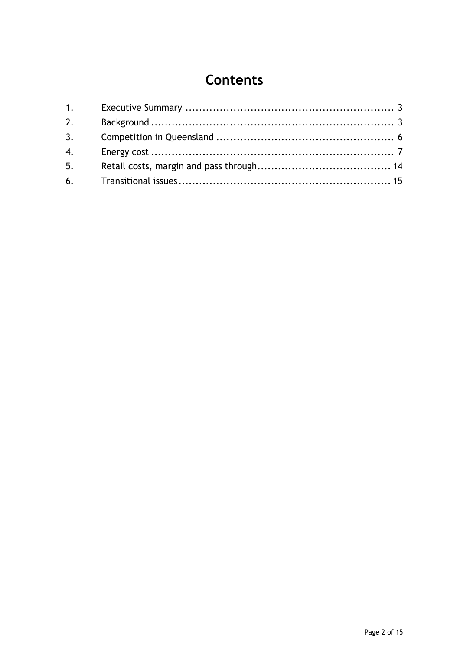# **Contents**

| 2. |  |
|----|--|
| 3. |  |
| 4. |  |
| 5. |  |
|    |  |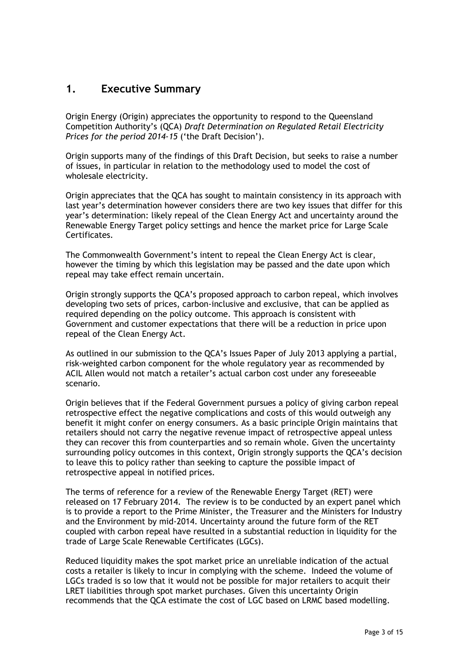### <span id="page-2-0"></span>**1. Executive Summary**

<span id="page-2-1"></span>Origin Energy (Origin) appreciates the opportunity to respond to the Queensland Competition Authority's (QCA) *Draft Determination on Regulated Retail Electricity Prices for the period 2014-15* ('the Draft Decision').

Origin supports many of the findings of this Draft Decision, but seeks to raise a number of issues, in particular in relation to the methodology used to model the cost of wholesale electricity.

Origin appreciates that the QCA has sought to maintain consistency in its approach with last year's determination however considers there are two key issues that differ for this year's determination: likely repeal of the Clean Energy Act and uncertainty around the Renewable Energy Target policy settings and hence the market price for Large Scale Certificates.

The Commonwealth Government's intent to repeal the Clean Energy Act is clear, however the timing by which this legislation may be passed and the date upon which repeal may take effect remain uncertain.

Origin strongly supports the QCA's proposed approach to carbon repeal, which involves developing two sets of prices, carbon-inclusive and exclusive, that can be applied as required depending on the policy outcome. This approach is consistent with Government and customer expectations that there will be a reduction in price upon repeal of the Clean Energy Act.

As outlined in our submission to the QCA's Issues Paper of July 2013 applying a partial, risk-weighted carbon component for the whole regulatory year as recommended by ACIL Allen would not match a retailer's actual carbon cost under any foreseeable scenario.

Origin believes that if the Federal Government pursues a policy of giving carbon repeal retrospective effect the negative complications and costs of this would outweigh any benefit it might confer on energy consumers. As a basic principle Origin maintains that retailers should not carry the negative revenue impact of retrospective appeal unless they can recover this from counterparties and so remain whole. Given the uncertainty surrounding policy outcomes in this context, Origin strongly supports the QCA's decision to leave this to policy rather than seeking to capture the possible impact of retrospective appeal in notified prices.

The terms of reference for a review of the Renewable Energy Target (RET) were released on 17 February 2014. The review is to be conducted by an expert panel which is to provide a report to the Prime Minister, the Treasurer and the Ministers for Industry and the Environment by mid-2014. Uncertainty around the future form of the RET coupled with carbon repeal have resulted in a substantial reduction in liquidity for the trade of Large Scale Renewable Certificates (LGCs).

Reduced liquidity makes the spot market price an unreliable indication of the actual costs a retailer is likely to incur in complying with the scheme. Indeed the volume of LGCs traded is so low that it would not be possible for major retailers to acquit their LRET liabilities through spot market purchases. Given this uncertainty Origin recommends that the QCA estimate the cost of LGC based on LRMC based modelling.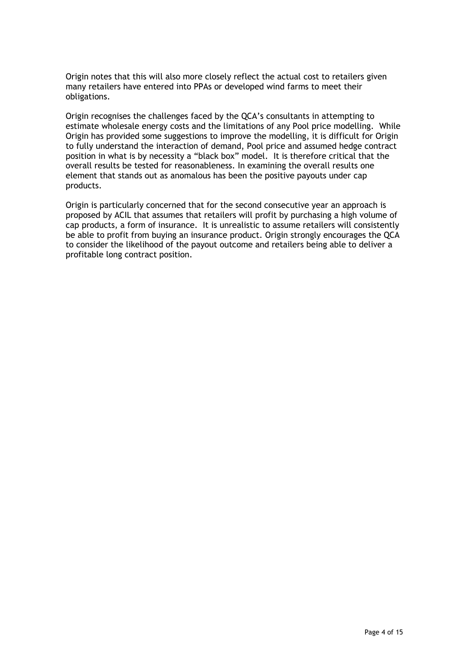Origin notes that this will also more closely reflect the actual cost to retailers given many retailers have entered into PPAs or developed wind farms to meet their obligations.

Origin recognises the challenges faced by the QCA's consultants in attempting to estimate wholesale energy costs and the limitations of any Pool price modelling. While Origin has provided some suggestions to improve the modelling, it is difficult for Origin to fully understand the interaction of demand, Pool price and assumed hedge contract position in what is by necessity a "black box" model. It is therefore critical that the overall results be tested for reasonableness. In examining the overall results one element that stands out as anomalous has been the positive payouts under cap products.

Origin is particularly concerned that for the second consecutive year an approach is proposed by ACIL that assumes that retailers will profit by purchasing a high volume of cap products, a form of insurance. It is unrealistic to assume retailers will consistently be able to profit from buying an insurance product. Origin strongly encourages the QCA to consider the likelihood of the payout outcome and retailers being able to deliver a profitable long contract position.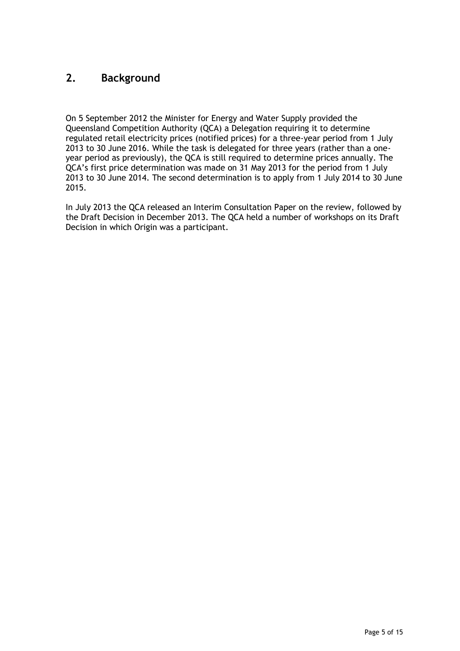# **2. Background**

On 5 September 2012 the Minister for Energy and Water Supply provided the Queensland Competition Authority (QCA) a Delegation requiring it to determine regulated retail electricity prices (notified prices) for a three-year period from 1 July 2013 to 30 June 2016. While the task is delegated for three years (rather than a oneyear period as previously), the QCA is still required to determine prices annually. The QCA's first price determination was made on 31 May 2013 for the period from 1 July 2013 to 30 June 2014. The second determination is to apply from 1 July 2014 to 30 June 2015.

In July 2013 the QCA released an Interim Consultation Paper on the review, followed by the Draft Decision in December 2013. The QCA held a number of workshops on its Draft Decision in which Origin was a participant.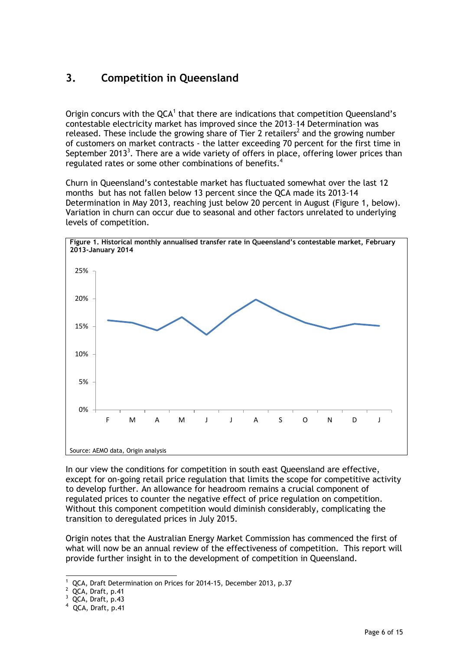# <span id="page-5-0"></span>**3. Competition in Queensland**

Origin concurs with the  $QCA^1$  that there are indications that competition Queensland's contestable electricity market has improved since the 2013–14 Determination was released. These include the growing share of Tier 2 retailers<sup>2</sup> and the growing number of customers on market contracts - the latter exceeding 70 percent for the first time in September 2013<sup>3</sup>. There are a wide variety of offers in place, offering lower prices than regulated rates or some other combinations of benefits.<sup>4</sup>

Churn in Queensland's contestable market has fluctuated somewhat over the last 12 months but has not fallen below 13 percent since the QCA made its 2013-14 Determination in May 2013, reaching just below 20 percent in August (Figure 1, below). Variation in churn can occur due to seasonal and other factors unrelated to underlying levels of competition.



In our view the conditions for competition in south east Queensland are effective, except for on-going retail price regulation that limits the scope for competitive activity to develop further. An allowance for headroom remains a crucial component of regulated prices to counter the negative effect of price regulation on competition. Without this component competition would diminish considerably, complicating the transition to deregulated prices in July 2015.

Origin notes that the Australian Energy Market Commission has commenced the first of what will now be an annual review of the effectiveness of competition. This report will provide further insight in to the development of competition in Queensland.

<sup>-</sup>1 QCA, Draft Determination on Prices for 2014-15, December 2013, p.37

 $2$  QCA, Draft, p.41

 $3$  QCA, Draft, p.43

<sup>4</sup> QCA, Draft, p.41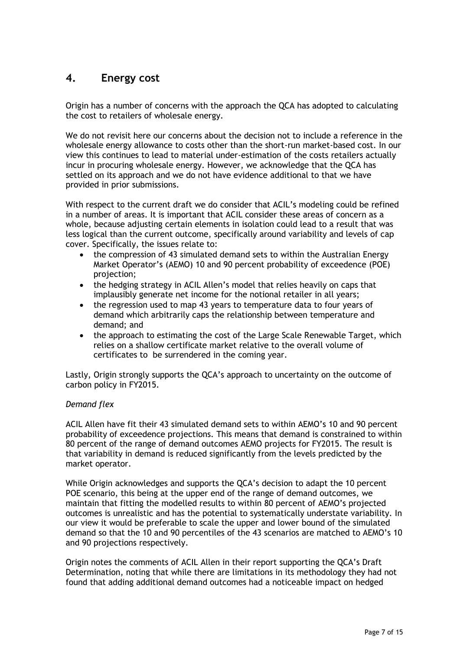# <span id="page-6-0"></span>**4. Energy cost**

Origin has a number of concerns with the approach the QCA has adopted to calculating the cost to retailers of wholesale energy.

We do not revisit here our concerns about the decision not to include a reference in the wholesale energy allowance to costs other than the short-run market-based cost. In our view this continues to lead to material under-estimation of the costs retailers actually incur in procuring wholesale energy. However, we acknowledge that the QCA has settled on its approach and we do not have evidence additional to that we have provided in prior submissions.

With respect to the current draft we do consider that ACIL's modeling could be refined in a number of areas. It is important that ACIL consider these areas of concern as a whole, because adjusting certain elements in isolation could lead to a result that was less logical than the current outcome, specifically around variability and levels of cap cover. Specifically, the issues relate to:

- the compression of 43 simulated demand sets to within the Australian Energy Market Operator's (AEMO) 10 and 90 percent probability of exceedence (POE) projection;
- the hedging strategy in ACIL Allen's model that relies heavily on caps that implausibly generate net income for the notional retailer in all years;
- the regression used to map 43 years to temperature data to four years of demand which arbitrarily caps the relationship between temperature and demand; and
- the approach to estimating the cost of the Large Scale Renewable Target, which relies on a shallow certificate market relative to the overall volume of certificates to be surrendered in the coming year.

Lastly, Origin strongly supports the QCA's approach to uncertainty on the outcome of carbon policy in FY2015.

#### *Demand flex*

ACIL Allen have fit their 43 simulated demand sets to within AEMO's 10 and 90 percent probability of exceedence projections. This means that demand is constrained to within 80 percent of the range of demand outcomes AEMO projects for FY2015. The result is that variability in demand is reduced significantly from the levels predicted by the market operator.

While Origin acknowledges and supports the QCA's decision to adapt the 10 percent POE scenario, this being at the upper end of the range of demand outcomes, we maintain that fitting the modelled results to within 80 percent of AEMO's projected outcomes is unrealistic and has the potential to systematically understate variability. In our view it would be preferable to scale the upper and lower bound of the simulated demand so that the 10 and 90 percentiles of the 43 scenarios are matched to AEMO's 10 and 90 projections respectively.

Origin notes the comments of ACIL Allen in their report supporting the QCA's Draft Determination, noting that while there are limitations in its methodology they had not found that adding additional demand outcomes had a noticeable impact on hedged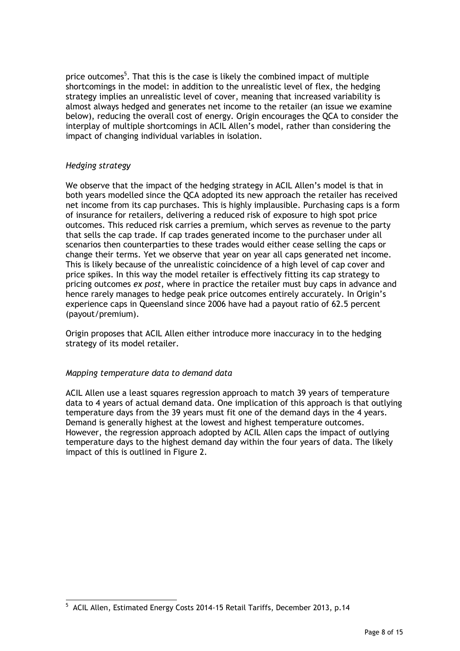price outcomes<sup>5</sup>. That this is the case is likely the combined impact of multiple shortcomings in the model: in addition to the unrealistic level of flex, the hedging strategy implies an unrealistic level of cover, meaning that increased variability is almost always hedged and generates net income to the retailer (an issue we examine below), reducing the overall cost of energy. Origin encourages the QCA to consider the interplay of multiple shortcomings in ACIL Allen's model, rather than considering the impact of changing individual variables in isolation.

#### *Hedging strategy*

We observe that the impact of the hedging strategy in ACIL Allen's model is that in both years modelled since the QCA adopted its new approach the retailer has received net income from its cap purchases. This is highly implausible. Purchasing caps is a form of insurance for retailers, delivering a reduced risk of exposure to high spot price outcomes. This reduced risk carries a premium, which serves as revenue to the party that sells the cap trade. If cap trades generated income to the purchaser under all scenarios then counterparties to these trades would either cease selling the caps or change their terms. Yet we observe that year on year all caps generated net income. This is likely because of the unrealistic coincidence of a high level of cap cover and price spikes. In this way the model retailer is effectively fitting its cap strategy to pricing outcomes *ex post*, where in practice the retailer must buy caps in advance and hence rarely manages to hedge peak price outcomes entirely accurately. In Origin's experience caps in Queensland since 2006 have had a payout ratio of 62.5 percent (payout/premium).

Origin proposes that ACIL Allen either introduce more inaccuracy in to the hedging strategy of its model retailer.

#### *Mapping temperature data to demand data*

ACIL Allen use a least squares regression approach to match 39 years of temperature data to 4 years of actual demand data. One implication of this approach is that outlying temperature days from the 39 years must fit one of the demand days in the 4 years. Demand is generally highest at the lowest and highest temperature outcomes. However, the regression approach adopted by ACIL Allen caps the impact of outlying temperature days to the highest demand day within the four years of data. The likely impact of this is outlined in Figure 2.

 5 ACIL Allen, Estimated Energy Costs 2014-15 Retail Tariffs, December 2013, p.14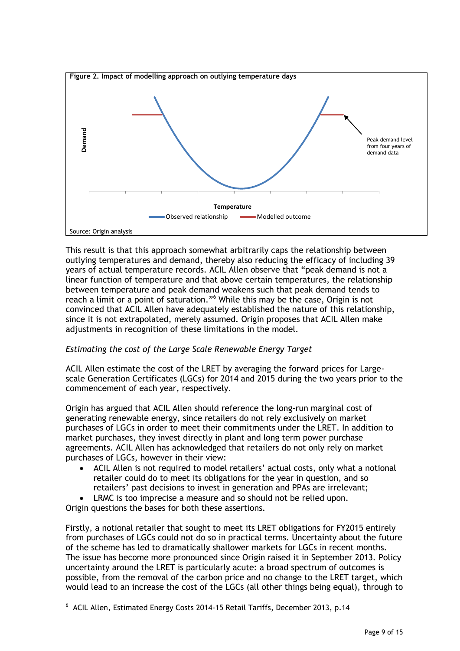

This result is that this approach somewhat arbitrarily caps the relationship between outlying temperatures and demand, thereby also reducing the efficacy of including 39 years of actual temperature records. ACIL Allen observe that "peak demand is not a linear function of temperature and that above certain temperatures, the relationship between temperature and peak demand weakens such that peak demand tends to reach a limit or a point of saturation."<sup>6</sup> While this may be the case, Origin is not convinced that ACIL Allen have adequately established the nature of this relationship, since it is not extrapolated, merely assumed. Origin proposes that ACIL Allen make adjustments in recognition of these limitations in the model.

#### *Estimating the cost of the Large Scale Renewable Energy Target*

ACIL Allen estimate the cost of the LRET by averaging the forward prices for Largescale Generation Certificates (LGCs) for 2014 and 2015 during the two years prior to the commencement of each year, respectively.

Origin has argued that ACIL Allen should reference the long-run marginal cost of generating renewable energy, since retailers do not rely exclusively on market purchases of LGCs in order to meet their commitments under the LRET. In addition to market purchases, they invest directly in plant and long term power purchase agreements. ACIL Allen has acknowledged that retailers do not only rely on market purchases of LGCs, however in their view:

- ACIL Allen is not required to model retailers' actual costs, only what a notional retailer could do to meet its obligations for the year in question, and so retailers' past decisions to invest in generation and PPAs are irrelevant;
- LRMC is too imprecise a measure and so should not be relied upon.

Origin questions the bases for both these assertions.

1

Firstly, a notional retailer that sought to meet its LRET obligations for FY2015 entirely from purchases of LGCs could not do so in practical terms. Uncertainty about the future of the scheme has led to dramatically shallower markets for LGCs in recent months. The issue has become more pronounced since Origin raised it in September 2013. Policy uncertainty around the LRET is particularly acute: a broad spectrum of outcomes is possible, from the removal of the carbon price and no change to the LRET target, which would lead to an increase the cost of the LGCs (all other things being equal), through to

<sup>&</sup>lt;sup>6</sup> ACIL Allen, Estimated Energy Costs 2014-15 Retail Tariffs, December 2013, p.14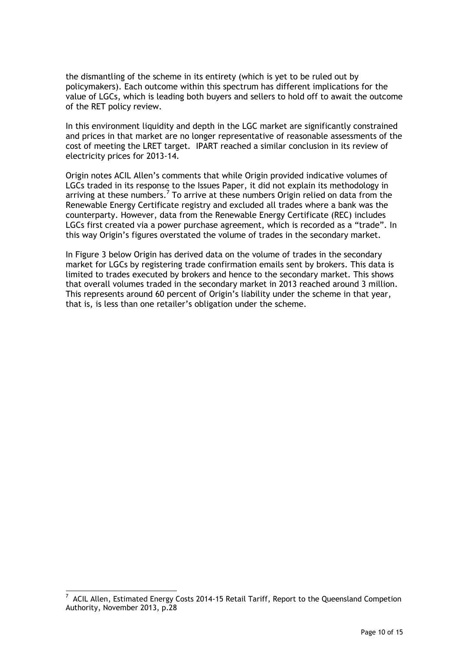the dismantling of the scheme in its entirety (which is yet to be ruled out by policymakers). Each outcome within this spectrum has different implications for the value of LGCs, which is leading both buyers and sellers to hold off to await the outcome of the RET policy review.

In this environment liquidity and depth in the LGC market are significantly constrained and prices in that market are no longer representative of reasonable assessments of the cost of meeting the LRET target. IPART reached a similar conclusion in its review of electricity prices for 2013-14.

Origin notes ACIL Allen's comments that while Origin provided indicative volumes of LGCs traded in its response to the Issues Paper, it did not explain its methodology in arriving at these numbers.<sup>7</sup> To arrive at these numbers Origin relied on data from the Renewable Energy Certificate registry and excluded all trades where a bank was the counterparty. However, data from the Renewable Energy Certificate (REC) includes LGCs first created via a power purchase agreement, which is recorded as a "trade". In this way Origin's figures overstated the volume of trades in the secondary market.

In Figure 3 below Origin has derived data on the volume of trades in the secondary market for LGCs by registering trade confirmation emails sent by brokers. This data is limited to trades executed by brokers and hence to the secondary market. This shows that overall volumes traded in the secondary market in 2013 reached around 3 million. This represents around 60 percent of Origin's liability under the scheme in that year, that is, is less than one retailer's obligation under the scheme.

1

 $^7$  ACIL Allen, Estimated Energy Costs 2014-15 Retail Tariff, Report to the Queensland Competion Authority, November 2013, p.28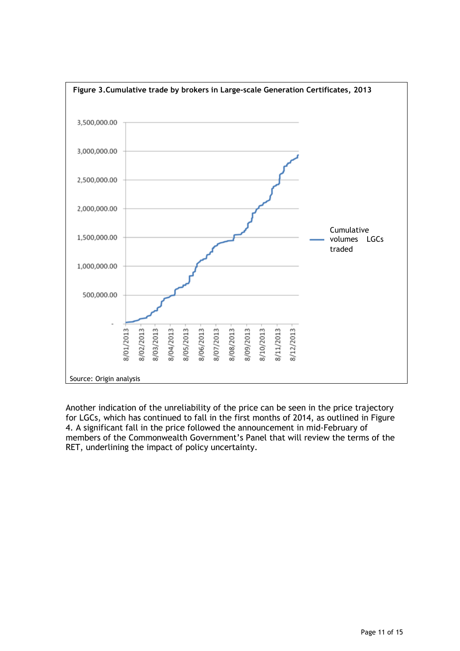

Another indication of the unreliability of the price can be seen in the price trajectory for LGCs, which has continued to fall in the first months of 2014, as outlined in Figure 4. A significant fall in the price followed the announcement in mid-February of members of the Commonwealth Government's Panel that will review the terms of the RET, underlining the impact of policy uncertainty.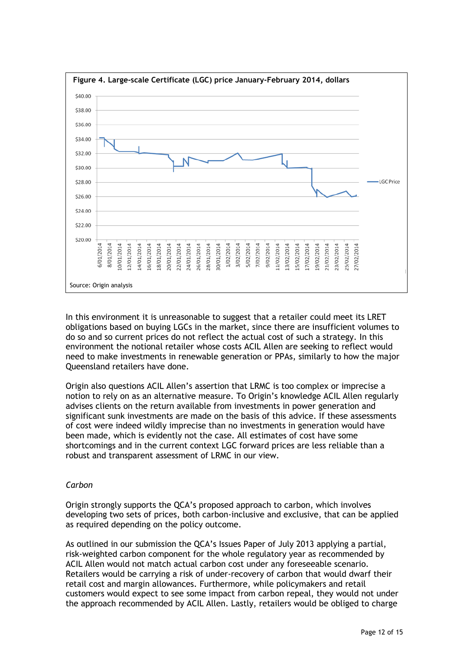

In this environment it is unreasonable to suggest that a retailer could meet its LRET obligations based on buying LGCs in the market, since there are insufficient volumes to do so and so current prices do not reflect the actual cost of such a strategy. In this environment the notional retailer whose costs ACIL Allen are seeking to reflect would need to make investments in renewable generation or PPAs, similarly to how the major Queensland retailers have done.

Origin also questions ACIL Allen's assertion that LRMC is too complex or imprecise a notion to rely on as an alternative measure. To Origin's knowledge ACIL Allen regularly advises clients on the return available from investments in power generation and significant sunk investments are made on the basis of this advice. If these assessments of cost were indeed wildly imprecise than no investments in generation would have been made, which is evidently not the case. All estimates of cost have some shortcomings and in the current context LGC forward prices are less reliable than a robust and transparent assessment of LRMC in our view.

#### *Carbon*

Origin strongly supports the QCA's proposed approach to carbon, which involves developing two sets of prices, both carbon-inclusive and exclusive, that can be applied as required depending on the policy outcome.

As outlined in our submission the QCA's Issues Paper of July 2013 applying a partial, risk-weighted carbon component for the whole regulatory year as recommended by ACIL Allen would not match actual carbon cost under any foreseeable scenario. Retailers would be carrying a risk of under-recovery of carbon that would dwarf their retail cost and margin allowances. Furthermore, while policymakers and retail customers would expect to see some impact from carbon repeal, they would not under the approach recommended by ACIL Allen. Lastly, retailers would be obliged to charge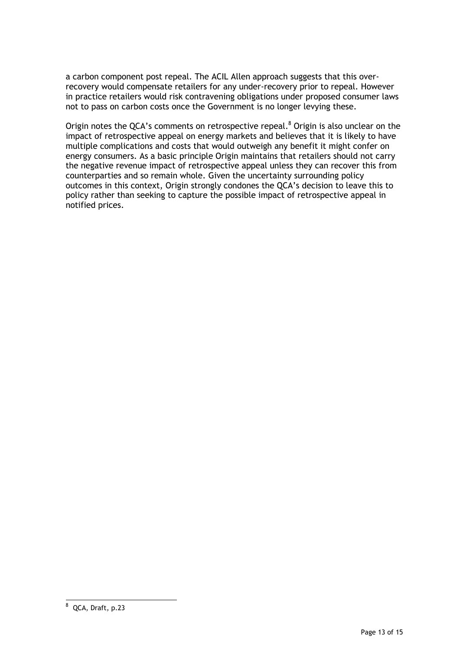a carbon component post repeal. The ACIL Allen approach suggests that this overrecovery would compensate retailers for any under-recovery prior to repeal. However in practice retailers would risk contravening obligations under proposed consumer laws not to pass on carbon costs once the Government is no longer levying these.

<span id="page-12-0"></span>Origin notes the QCA's comments on retrospective repeal.<sup>8</sup> Origin is also unclear on the impact of retrospective appeal on energy markets and believes that it is likely to have multiple complications and costs that would outweigh any benefit it might confer on energy consumers. As a basic principle Origin maintains that retailers should not carry the negative revenue impact of retrospective appeal unless they can recover this from counterparties and so remain whole. Given the uncertainty surrounding policy outcomes in this context, Origin strongly condones the QCA's decision to leave this to policy rather than seeking to capture the possible impact of retrospective appeal in notified prices.

 $^8$  QCA, Draft, p.23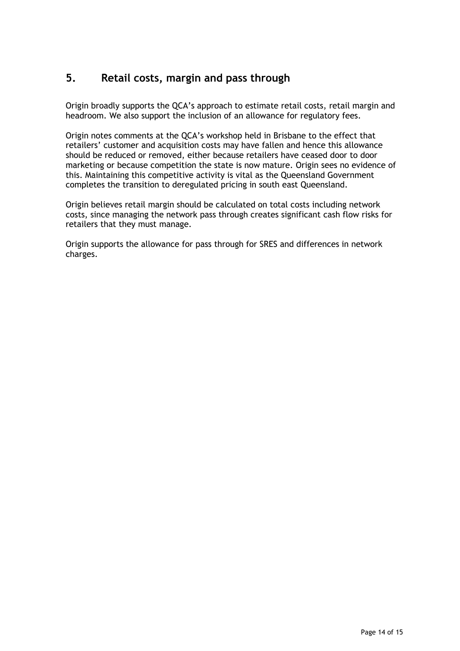# **5. Retail costs, margin and pass through**

Origin broadly supports the QCA's approach to estimate retail costs, retail margin and headroom. We also support the inclusion of an allowance for regulatory fees.

Origin notes comments at the QCA's workshop held in Brisbane to the effect that retailers' customer and acquisition costs may have fallen and hence this allowance should be reduced or removed, either because retailers have ceased door to door marketing or because competition the state is now mature. Origin sees no evidence of this. Maintaining this competitive activity is vital as the Queensland Government completes the transition to deregulated pricing in south east Queensland.

Origin believes retail margin should be calculated on total costs including network costs, since managing the network pass through creates significant cash flow risks for retailers that they must manage.

<span id="page-13-0"></span>Origin supports the allowance for pass through for SRES and differences in network charges.